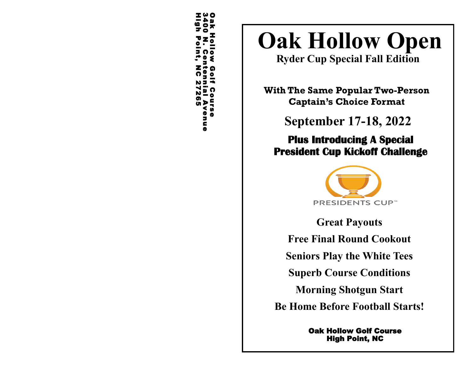Oak Hollow Golf Course 3400 N. Centennial AvenueHigh Point, NC 27265

# **Oak Hollow Open**

**Ryder Cup Special Fall Edition**

**With The Same Popular Two-Person Captain's Choice Format**

**September 17-18, 2022**

## **Plus Introducing A Special President Cup Kickoff Challenge**



**Great Payouts Free Final Round Cookout**

**Seniors Play the White Tees**

**Superb Course Conditions** 

**Morning Shotgun Start**

**Be Home Before Football Starts!**

Oak Hollow Golf Course High Point, NC